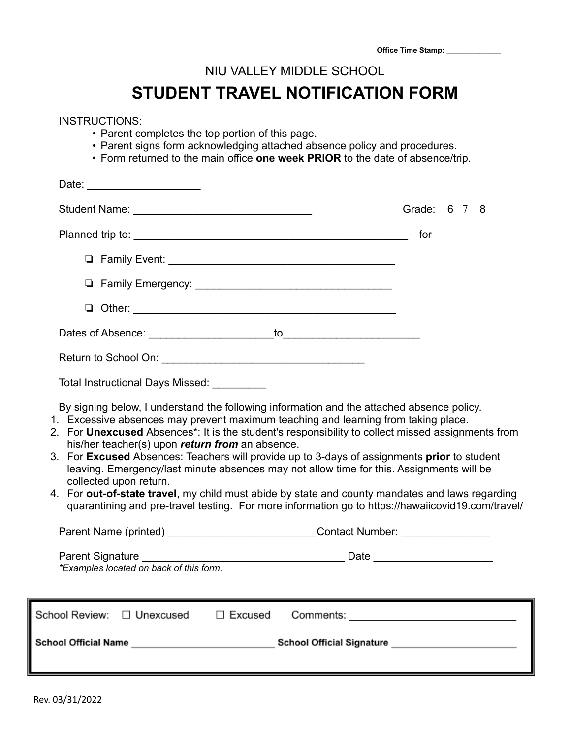|  | <b>Office Time Stamp:</b> |  |
|--|---------------------------|--|
|  |                           |  |

## NIU VALLEY MIDDLE SCHOOL

## **STUDENT TRAVEL NOTIFICATION FORM**

| <b>INSTRUCTIONS:</b><br>• Parent completes the top portion of this page.<br>• Parent signs form acknowledging attached absence policy and procedures.<br>• Form returned to the main office one week PRIOR to the date of absence/trip.                                                                                                                                                                                                                                                                                                                                                                                                                                                                                                                              |              |  |  |  |  |
|----------------------------------------------------------------------------------------------------------------------------------------------------------------------------------------------------------------------------------------------------------------------------------------------------------------------------------------------------------------------------------------------------------------------------------------------------------------------------------------------------------------------------------------------------------------------------------------------------------------------------------------------------------------------------------------------------------------------------------------------------------------------|--------------|--|--|--|--|
|                                                                                                                                                                                                                                                                                                                                                                                                                                                                                                                                                                                                                                                                                                                                                                      |              |  |  |  |  |
|                                                                                                                                                                                                                                                                                                                                                                                                                                                                                                                                                                                                                                                                                                                                                                      | Grade: 6 7 8 |  |  |  |  |
|                                                                                                                                                                                                                                                                                                                                                                                                                                                                                                                                                                                                                                                                                                                                                                      | for          |  |  |  |  |
|                                                                                                                                                                                                                                                                                                                                                                                                                                                                                                                                                                                                                                                                                                                                                                      |              |  |  |  |  |
|                                                                                                                                                                                                                                                                                                                                                                                                                                                                                                                                                                                                                                                                                                                                                                      |              |  |  |  |  |
|                                                                                                                                                                                                                                                                                                                                                                                                                                                                                                                                                                                                                                                                                                                                                                      |              |  |  |  |  |
|                                                                                                                                                                                                                                                                                                                                                                                                                                                                                                                                                                                                                                                                                                                                                                      |              |  |  |  |  |
|                                                                                                                                                                                                                                                                                                                                                                                                                                                                                                                                                                                                                                                                                                                                                                      |              |  |  |  |  |
| Total Instructional Days Missed: _________                                                                                                                                                                                                                                                                                                                                                                                                                                                                                                                                                                                                                                                                                                                           |              |  |  |  |  |
| By signing below, I understand the following information and the attached absence policy.<br>1. Excessive absences may prevent maximum teaching and learning from taking place.<br>2. For Unexcused Absences*: It is the student's responsibility to collect missed assignments from<br>his/her teacher(s) upon return from an absence.<br>3. For Excused Absences: Teachers will provide up to 3-days of assignments prior to student<br>leaving. Emergency/last minute absences may not allow time for this. Assignments will be<br>collected upon return.<br>4. For out-of-state travel, my child must abide by state and county mandates and laws regarding<br>quarantining and pre-travel testing. For more information go to https://hawaiicovid19.com/travel/ |              |  |  |  |  |
| Parent Name (printed) _______________________________Contact Number: ___________                                                                                                                                                                                                                                                                                                                                                                                                                                                                                                                                                                                                                                                                                     |              |  |  |  |  |
| Parent Signature<br>*Examples located on back of this form.                                                                                                                                                                                                                                                                                                                                                                                                                                                                                                                                                                                                                                                                                                          |              |  |  |  |  |
| School Review: □ Unexcused<br>□ Excused                                                                                                                                                                                                                                                                                                                                                                                                                                                                                                                                                                                                                                                                                                                              |              |  |  |  |  |
| School Official Name __________________________________School Official Signature ___________________                                                                                                                                                                                                                                                                                                                                                                                                                                                                                                                                                                                                                                                                 |              |  |  |  |  |